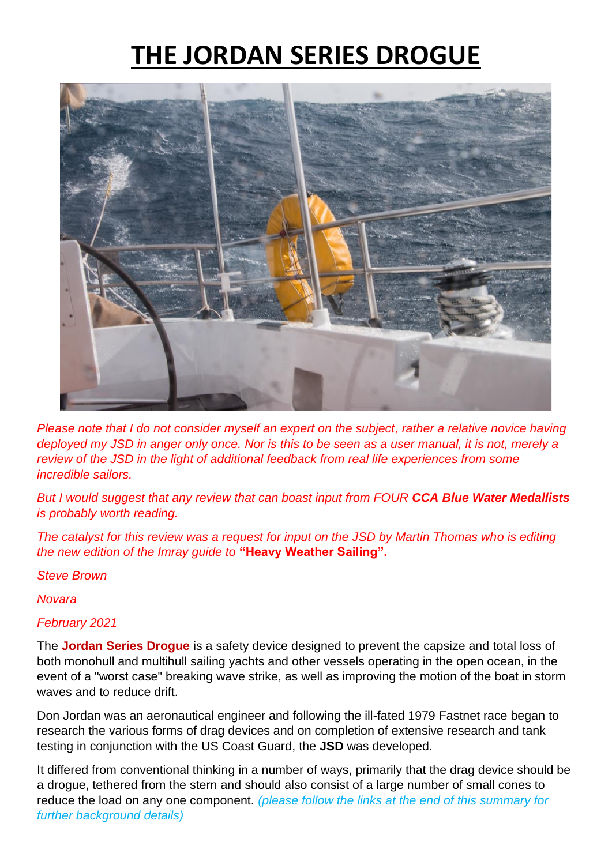# **THE JORDAN SERIES DROGUE**



*Please note that I do not consider myself an expert on the subject, rather a relative novice having deployed my JSD in anger only once. Nor is this to be seen as a user manual, it is not, merely a review of the JSD in the light of additional feedback from real life experiences from some incredible sailors.* 

*But I would suggest that any review that can boast input from FOUR CCA Blue Water Medallists is probably worth reading.*

*The catalyst for this review was a request for input on the JSD by Martin Thomas who is editing the new edition of the Imray guide to* **"Heavy Weather Sailing".**

*Steve Brown*

*Novara*

#### *February 2021*

The **Jordan Series Drogue** is a safety device designed to prevent the capsize and total loss of both monohull and multihull sailing yachts and other vessels operating in the open ocean, in the event of a "worst case" breaking wave strike, as well as improving the motion of the boat in storm waves and to reduce drift.

Don Jordan was an aeronautical engineer and following the ill-fated 1979 Fastnet race began to research the various forms of drag devices and on completion of extensive research and tank testing in conjunction with the US Coast Guard, the **JSD** was developed.

It differed from conventional thinking in a number of ways, primarily that the drag device should be a drogue, tethered from the stern and should also consist of a large number of small cones to reduce the load on any one component. *(please follow the links at the end of this summary for further background details)*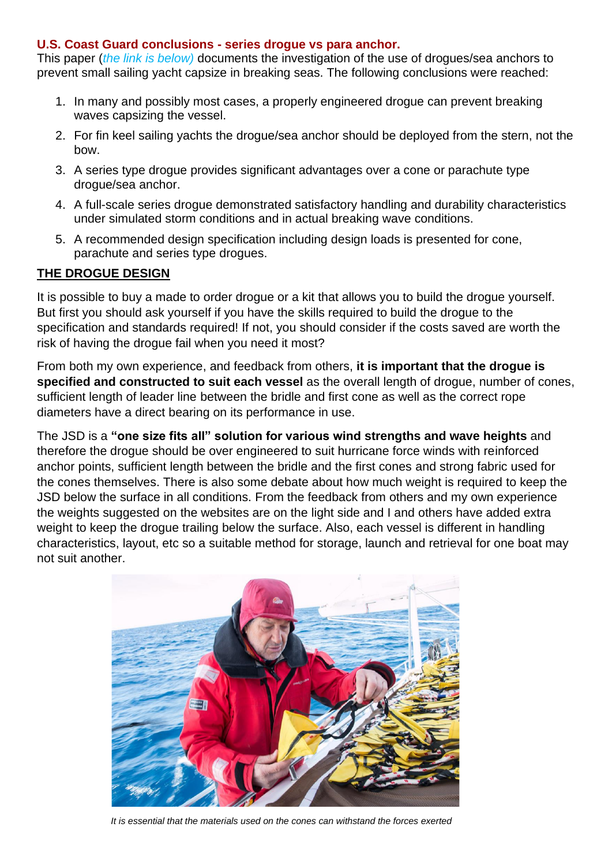#### **U.S. Coast Guard conclusions - series drogue vs para anchor.**

This paper (*the link is below)* documents the investigation of the use of drogues/sea anchors to prevent small sailing yacht capsize in breaking seas. The following conclusions were reached:

- 1. In many and possibly most cases, a properly engineered drogue can prevent breaking waves capsizing the vessel.
- 2. For fin keel sailing yachts the drogue/sea anchor should be deployed from the stern, not the bow.
- 3. A series type drogue provides significant advantages over a cone or parachute type drogue/sea anchor.
- 4. A full-scale series drogue demonstrated satisfactory handling and durability characteristics under simulated storm conditions and in actual breaking wave conditions.
- 5. A recommended design specification including design loads is presented for cone, parachute and series type drogues.

## **THE DROGUE DESIGN**

It is possible to buy a made to order drogue or a kit that allows you to build the drogue yourself. But first you should ask yourself if you have the skills required to build the drogue to the specification and standards required! If not, you should consider if the costs saved are worth the risk of having the drogue fail when you need it most?

From both my own experience, and feedback from others, **it is important that the drogue is specified and constructed to suit each vessel** as the overall length of drogue, number of cones, sufficient length of leader line between the bridle and first cone as well as the correct rope diameters have a direct bearing on its performance in use.

The JSD is a **"one size fits all" solution for various wind strengths and wave heights** and therefore the drogue should be over engineered to suit hurricane force winds with reinforced anchor points, sufficient length between the bridle and the first cones and strong fabric used for the cones themselves. There is also some debate about how much weight is required to keep the JSD below the surface in all conditions. From the feedback from others and my own experience the weights suggested on the websites are on the light side and I and others have added extra weight to keep the drogue trailing below the surface. Also, each vessel is different in handling characteristics, layout, etc so a suitable method for storage, launch and retrieval for one boat may not suit another.



*It is essential that the materials used on the cones can withstand the forces exerted*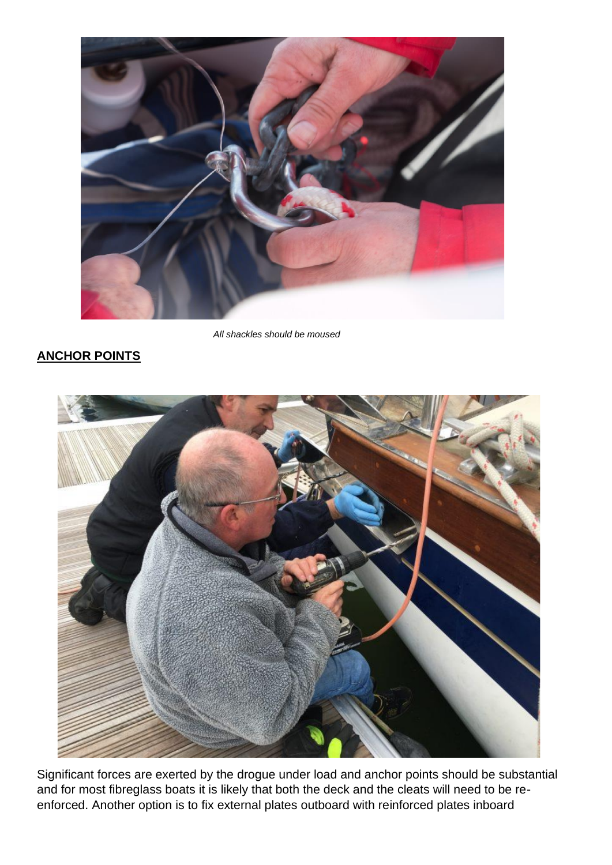

 *All shackles should be moused*

## **ANCHOR POINTS**



Significant forces are exerted by the drogue under load and anchor points should be substantial and for most fibreglass boats it is likely that both the deck and the cleats will need to be reenforced. Another option is to fix external plates outboard with reinforced plates inboard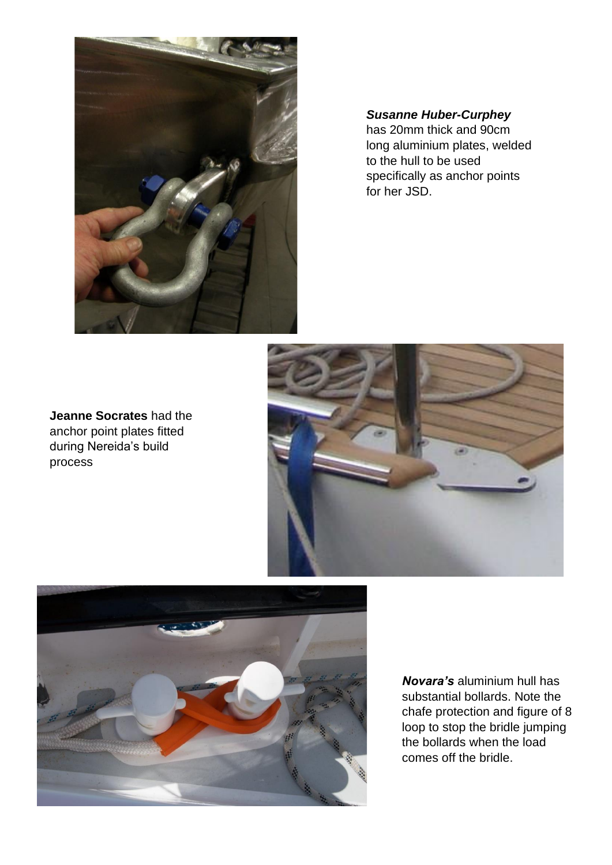

*Susanne Huber-Curphey*

has 20mm thick and 90cm long aluminium plates, welded to the hull to be used specifically as anchor points for her JSD.

**Jeanne Socrates** had the anchor point plates fitted during Nereida's build process





*Novara's* aluminium hull has substantial bollards. Note the chafe protection and figure of 8 loop to stop the bridle jumping the bollards when the load comes off the bridle.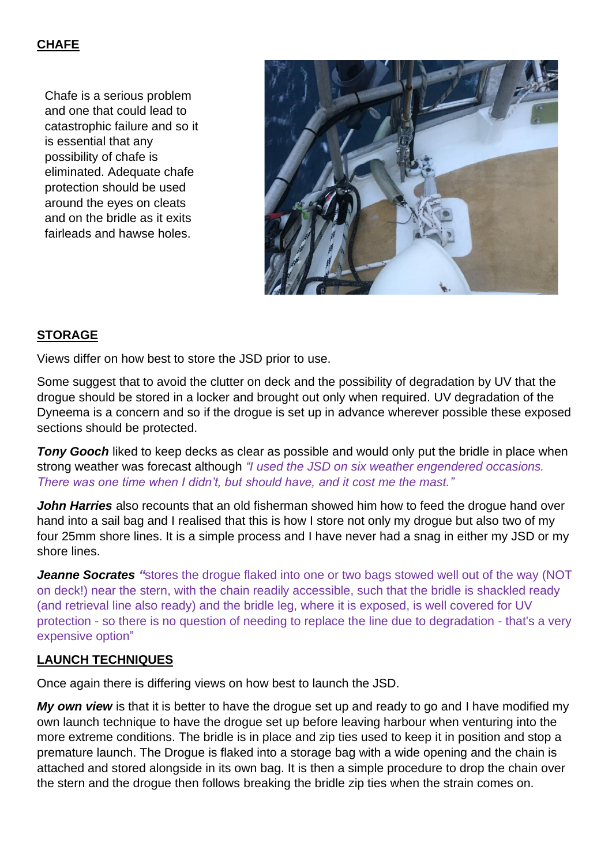## **CHAFE**

Chafe is a serious problem and one that could lead to catastrophic failure and so it is essential that any possibility of chafe is eliminated. Adequate chafe protection should be used around the eyes on cleats and on the bridle as it exits fairleads and hawse holes.



## **STORAGE**

Views differ on how best to store the JSD prior to use.

Some suggest that to avoid the clutter on deck and the possibility of degradation by UV that the drogue should be stored in a locker and brought out only when required. UV degradation of the Dyneema is a concern and so if the drogue is set up in advance wherever possible these exposed sections should be protected.

**Tony Gooch** liked to keep decks as clear as possible and would only put the bridle in place when strong weather was forecast although *"I used the JSD on six weather engendered occasions. There was one time when I didn't, but should have, and it cost me the mast."*

**John Harries** also recounts that an old fisherman showed him how to feed the drogue hand over hand into a sail bag and I realised that this is how I store not only my drogue but also two of my four 25mm shore lines. It is a simple process and I have never had a snag in either my JSD or my shore lines.

**Jeanne Socrates** "stores the drogue flaked into one or two bags stowed well out of the way (NOT on deck!) near the stern, with the chain readily accessible, such that the bridle is shackled ready (and retrieval line also ready) and the bridle leg, where it is exposed, is well covered for UV protection - so there is no question of needing to replace the line due to degradation - that's a very expensive option"

### **LAUNCH TECHNIQUES**

Once again there is differing views on how best to launch the JSD.

*My own view* is that it is better to have the drogue set up and ready to go and I have modified my own launch technique to have the drogue set up before leaving harbour when venturing into the more extreme conditions. The bridle is in place and zip ties used to keep it in position and stop a premature launch. The Drogue is flaked into a storage bag with a wide opening and the chain is attached and stored alongside in its own bag. It is then a simple procedure to drop the chain over the stern and the drogue then follows breaking the bridle zip ties when the strain comes on.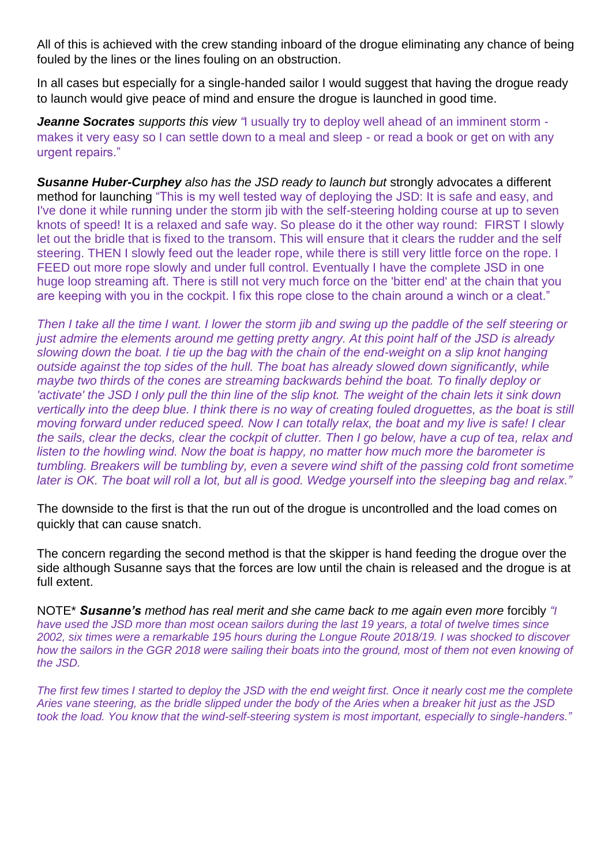All of this is achieved with the crew standing inboard of the drogue eliminating any chance of being fouled by the lines or the lines fouling on an obstruction.

In all cases but especially for a single-handed sailor I would suggest that having the drogue ready to launch would give peace of mind and ensure the drogue is launched in good time.

*Jeanne Socrates supports this view "*I usually try to deploy well ahead of an imminent storm makes it very easy so I can settle down to a meal and sleep - or read a book or get on with any urgent repairs."

*Susanne Huber-Curphey also has the JSD ready to launch but* strongly advocates a different method for launching "This is my well tested way of deploying the JSD: It is safe and easy, and I've done it while running under the storm jib with the self-steering holding course at up to seven knots of speed! It is a relaxed and safe way. So please do it the other way round: FIRST I slowly let out the bridle that is fixed to the transom. This will ensure that it clears the rudder and the self steering. THEN I slowly feed out the leader rope, while there is still very little force on the rope. I FEED out more rope slowly and under full control. Eventually I have the complete JSD in one huge loop streaming aft. There is still not very much force on the 'bitter end' at the chain that you are keeping with you in the cockpit. I fix this rope close to the chain around a winch or a cleat."

*Then I take all the time I want. I lower the storm jib and swing up the paddle of the self steering or just admire the elements around me getting pretty angry. At this point half of the JSD is already slowing down the boat. I tie up the bag with the chain of the end-weight on a slip knot hanging outside against the top sides of the hull. The boat has already slowed down significantly, while maybe two thirds of the cones are streaming backwards behind the boat. To finally deploy or 'activate' the JSD I only pull the thin line of the slip knot. The weight of the chain lets it sink down vertically into the deep blue. I think there is no way of creating fouled droguettes, as the boat is still moving forward under reduced speed. Now I can totally relax, the boat and my live is safe! I clear the sails, clear the decks, clear the cockpit of clutter. Then I go below, have a cup of tea, relax and listen to the howling wind. Now the boat is happy, no matter how much more the barometer is tumbling. Breakers will be tumbling by, even a severe wind shift of the passing cold front sometime later is OK. The boat will roll a lot, but all is good. Wedge yourself into the sleeping bag and relax."*

The downside to the first is that the run out of the drogue is uncontrolled and the load comes on quickly that can cause snatch.

The concern regarding the second method is that the skipper is hand feeding the drogue over the side although Susanne says that the forces are low until the chain is released and the drogue is at full extent.

NOTE\* *Susanne's method has real merit and she came back to me again even more* forcibly *"I have used the JSD more than most ocean sailors during the last 19 years, a total of twelve times since 2002, six times were a remarkable 195 hours during the Longue Route 2018/19. I was shocked to discover how the sailors in the GGR 2018 were sailing their boats into the ground, most of them not even knowing of the JSD.*

*The first few times I started to deploy the JSD with the end weight first. Once it nearly cost me the complete Aries vane steering, as the bridle slipped under the body of the Aries when a breaker hit just as the JSD took the load. You know that the wind-self-steering system is most important, especially to single-handers."*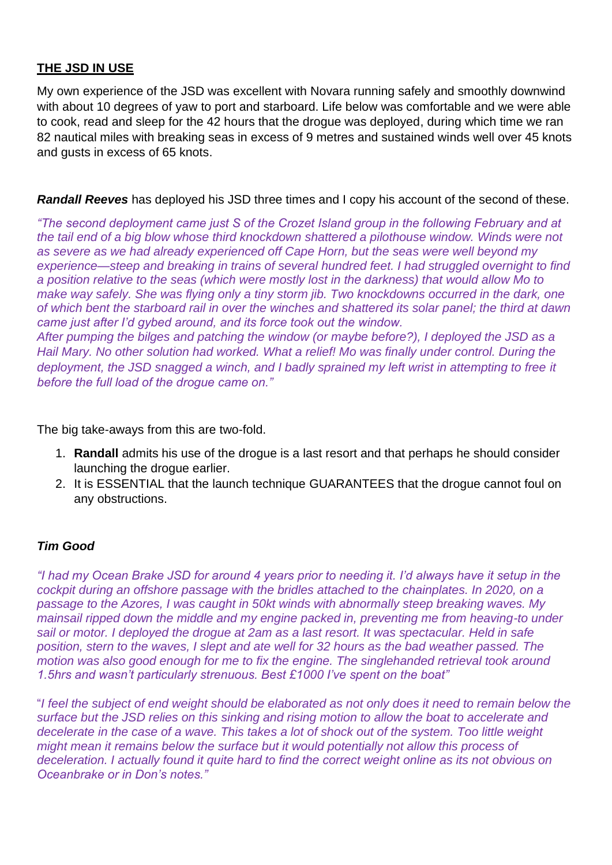#### **THE JSD IN USE**

My own experience of the JSD was excellent with Novara running safely and smoothly downwind with about 10 degrees of yaw to port and starboard. Life below was comfortable and we were able to cook, read and sleep for the 42 hours that the drogue was deployed, during which time we ran 82 nautical miles with breaking seas in excess of 9 metres and sustained winds well over 45 knots and gusts in excess of 65 knots.

*Randall Reeves* has deployed his JSD three times and I copy his account of the second of these.

*"The second deployment came just S of the Crozet Island group in the following February and at the tail end of a big blow whose third knockdown shattered a pilothouse window. Winds were not as severe as we had already experienced off Cape Horn, but the seas were well beyond my experience—steep and breaking in trains of several hundred feet. I had struggled overnight to find a position relative to the seas (which were mostly lost in the darkness) that would allow Mo to make way safely. She was flying only a tiny storm jib. Two knockdowns occurred in the dark, one of which bent the starboard rail in over the winches and shattered its solar panel; the third at dawn came just after I'd gybed around, and its force took out the window. After pumping the bilges and patching the window (or maybe before?), I deployed the JSD as a Hail Mary. No other solution had worked. What a relief! Mo was finally under control. During the deployment, the JSD snagged a winch, and I badly sprained my left wrist in attempting to free it before the full load of the drogue came on."*

The big take-aways from this are two-fold.

- 1. **Randall** admits his use of the drogue is a last resort and that perhaps he should consider launching the drogue earlier.
- 2. It is ESSENTIAL that the launch technique GUARANTEES that the drogue cannot foul on any obstructions.

#### *Tim Good*

*"I had my Ocean Brake JSD for around 4 years prior to needing it. I'd always have it setup in the cockpit during an offshore passage with the bridles attached to the chainplates. In 2020, on a passage to the Azores, I was caught in 50kt winds with abnormally steep breaking waves. My mainsail ripped down the middle and my engine packed in, preventing me from heaving-to under sail or motor. I deployed the drogue at 2am as a last resort. It was spectacular. Held in safe position, stern to the waves, I slept and ate well for 32 hours as the bad weather passed. The motion was also good enough for me to fix the engine. The singlehanded retrieval took around 1.5hrs and wasn't particularly strenuous. Best £1000 I've spent on the boat"*

"*I feel the subject of end weight should be elaborated as not only does it need to remain below the surface but the JSD relies on this sinking and rising motion to allow the boat to accelerate and decelerate in the case of a wave. This takes a lot of shock out of the system. Too little weight might mean it remains below the surface but it would potentially not allow this process of deceleration. I actually found it quite hard to find the correct weight online as its not obvious on Oceanbrake or in Don's notes."*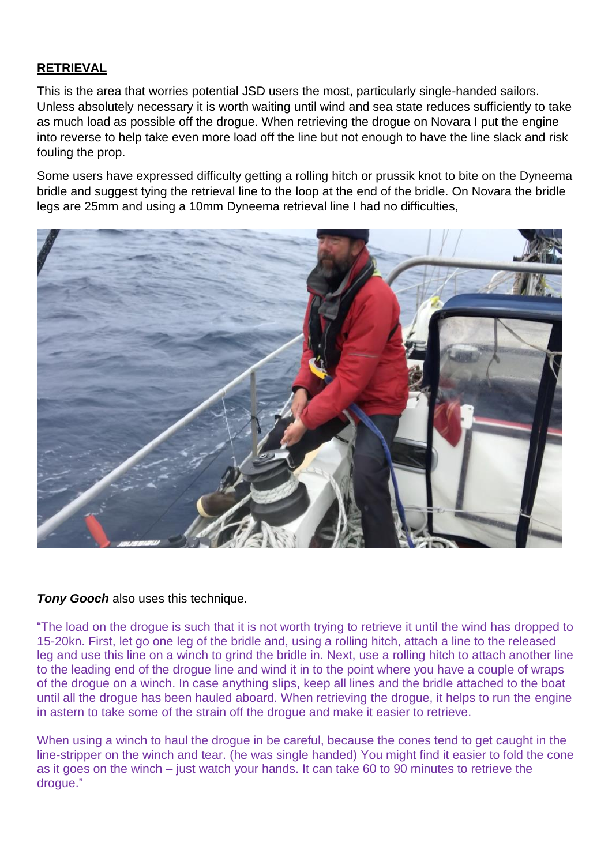### **RETRIEVAL**

This is the area that worries potential JSD users the most, particularly single-handed sailors. Unless absolutely necessary it is worth waiting until wind and sea state reduces sufficiently to take as much load as possible off the drogue. When retrieving the drogue on Novara I put the engine into reverse to help take even more load off the line but not enough to have the line slack and risk fouling the prop.

Some users have expressed difficulty getting a rolling hitch or prussik knot to bite on the Dyneema bridle and suggest tying the retrieval line to the loop at the end of the bridle. On Novara the bridle legs are 25mm and using a 10mm Dyneema retrieval line I had no difficulties,



### *Tony Gooch* also uses this technique.

"The load on the drogue is such that it is not worth trying to retrieve it until the wind has dropped to 15-20kn. First, let go one leg of the bridle and, using a rolling hitch, attach a line to the released leg and use this line on a winch to grind the bridle in. Next, use a rolling hitch to attach another line to the leading end of the drogue line and wind it in to the point where you have a couple of wraps of the drogue on a winch. In case anything slips, keep all lines and the bridle attached to the boat until all the drogue has been hauled aboard. When retrieving the drogue, it helps to run the engine in astern to take some of the strain off the drogue and make it easier to retrieve.

When using a winch to haul the drogue in be careful, because the cones tend to get caught in the line-stripper on the winch and tear. (he was single handed) You might find it easier to fold the cone as it goes on the winch – just watch your hands. It can take 60 to 90 minutes to retrieve the drogue."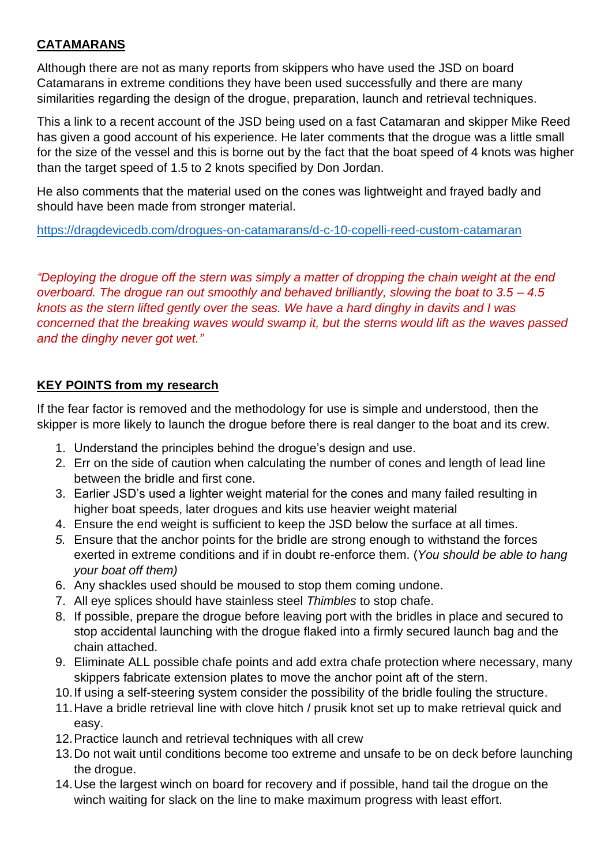## **CATAMARANS**

Although there are not as many reports from skippers who have used the JSD on board Catamarans in extreme conditions they have been used successfully and there are many similarities regarding the design of the drogue, preparation, launch and retrieval techniques.

This a link to a recent account of the JSD being used on a fast Catamaran and skipper Mike Reed has given a good account of his experience. He later comments that the drogue was a little small for the size of the vessel and this is borne out by the fact that the boat speed of 4 knots was higher than the target speed of 1.5 to 2 knots specified by Don Jordan.

He also comments that the material used on the cones was lightweight and frayed badly and should have been made from stronger material.

<https://dragdevicedb.com/drogues-on-catamarans/d-c-10-copelli-reed-custom-catamaran>

*"Deploying the drogue off the stern was simply a matter of dropping the chain weight at the end overboard. The drogue ran out smoothly and behaved brilliantly, slowing the boat to 3.5 – 4.5 knots as the stern lifted gently over the seas. We have a hard dinghy in davits and I was concerned that the breaking waves would swamp it, but the sterns would lift as the waves passed and the dinghy never got wet."*

### **KEY POINTS from my research**

If the fear factor is removed and the methodology for use is simple and understood, then the skipper is more likely to launch the drogue before there is real danger to the boat and its crew.

- 1. Understand the principles behind the drogue's design and use.
- 2. Err on the side of caution when calculating the number of cones and length of lead line between the bridle and first cone.
- 3. Earlier JSD's used a lighter weight material for the cones and many failed resulting in higher boat speeds, later drogues and kits use heavier weight material
- 4. Ensure the end weight is sufficient to keep the JSD below the surface at all times.
- *5.* Ensure that the anchor points for the bridle are strong enough to withstand the forces exerted in extreme conditions and if in doubt re-enforce them. (*You should be able to hang your boat off them)*
- 6. Any shackles used should be moused to stop them coming undone.
- 7. All eye splices should have stainless steel *Thimbles* to stop chafe.
- 8. If possible, prepare the drogue before leaving port with the bridles in place and secured to stop accidental launching with the drogue flaked into a firmly secured launch bag and the chain attached.
- 9. Eliminate ALL possible chafe points and add extra chafe protection where necessary, many skippers fabricate extension plates to move the anchor point aft of the stern.
- 10.If using a self-steering system consider the possibility of the bridle fouling the structure.
- 11.Have a bridle retrieval line with clove hitch / prusik knot set up to make retrieval quick and easy.
- 12.Practice launch and retrieval techniques with all crew
- 13.Do not wait until conditions become too extreme and unsafe to be on deck before launching the drogue.
- 14.Use the largest winch on board for recovery and if possible, hand tail the drogue on the winch waiting for slack on the line to make maximum progress with least effort.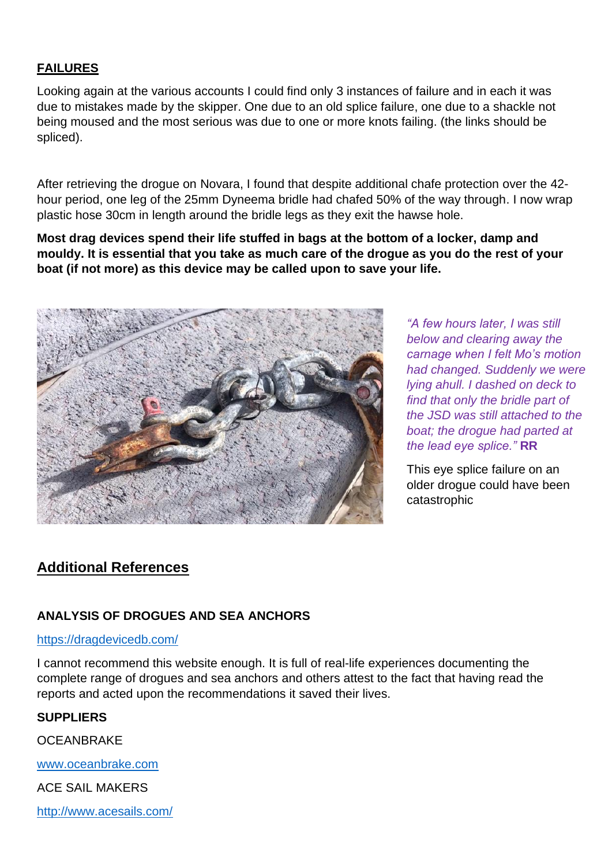### **FAILURES**

Looking again at the various accounts I could find only 3 instances of failure and in each it was due to mistakes made by the skipper. One due to an old splice failure, one due to a shackle not being moused and the most serious was due to one or more knots failing. (the links should be spliced).

After retrieving the drogue on Novara, I found that despite additional chafe protection over the 42 hour period, one leg of the 25mm Dyneema bridle had chafed 50% of the way through. I now wrap plastic hose 30cm in length around the bridle legs as they exit the hawse hole.

**Most drag devices spend their life stuffed in bags at the bottom of a locker, damp and mouldy. It is essential that you take as much care of the drogue as you do the rest of your boat (if not more) as this device may be called upon to save your life.**



*"A few hours later, I was still below and clearing away the carnage when I felt Mo's motion had changed. Suddenly we were lying ahull. I dashed on deck to find that only the bridle part of the JSD was still attached to the boat; the drogue had parted at the lead eye splice."* **RR**

This eye splice failure on an older drogue could have been catastrophic

# **Additional References**

### **ANALYSIS OF DROGUES AND SEA ANCHORS**

#### <https://dragdevicedb.com/>

I cannot recommend this website enough. It is full of real-life experiences documenting the complete range of drogues and sea anchors and others attest to the fact that having read the reports and acted upon the recommendations it saved their lives.

#### **SUPPLIERS**

**OCEANBRAKE** 

[www.oceanbrake.com](http://www.oceanbrake.com/)

ACE SAIL MAKERS

<http://www.acesails.com/>